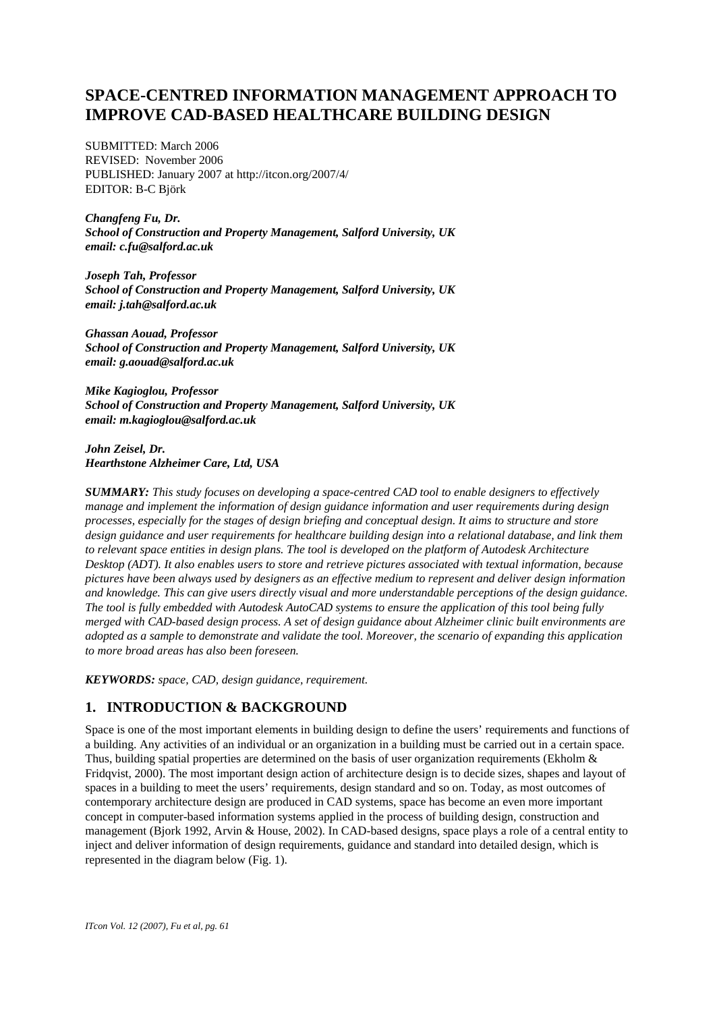# **SPACE-CENTRED INFORMATION MANAGEMENT APPROACH TO IMPROVE CAD-BASED HEALTHCARE BUILDING DESIGN**

SUBMITTED: March 2006 REVISED: November 2006 PUBLISHED: January 2007 at http://itcon.org/2007/4/ EDITOR: B-C Björk

*Changfeng Fu, Dr. School of Construction and Property Management, Salford University, UK email: c.fu@salford.ac.uk* 

*Joseph Tah, Professor School of Construction and Property Management, Salford University, UK email: j.tah@salford.ac.uk* 

*Ghassan Aouad, Professor School of Construction and Property Management, Salford University, UK email: g.aouad@salford.ac.uk* 

*Mike Kagioglou, Professor School of Construction and Property Management, Salford University, UK email: m.kagioglou@salford.ac.uk* 

*John Zeisel, Dr. Hearthstone Alzheimer Care, Ltd, USA* 

*SUMMARY: This study focuses on developing a space-centred CAD tool to enable designers to effectively manage and implement the information of design guidance information and user requirements during design processes, especially for the stages of design briefing and conceptual design. It aims to structure and store design guidance and user requirements for healthcare building design into a relational database, and link them to relevant space entities in design plans. The tool is developed on the platform of Autodesk Architecture Desktop (ADT). It also enables users to store and retrieve pictures associated with textual information, because pictures have been always used by designers as an effective medium to represent and deliver design information and knowledge. This can give users directly visual and more understandable perceptions of the design guidance. The tool is fully embedded with Autodesk AutoCAD systems to ensure the application of this tool being fully merged with CAD-based design process. A set of design guidance about Alzheimer clinic built environments are adopted as a sample to demonstrate and validate the tool. Moreover, the scenario of expanding this application to more broad areas has also been foreseen.* 

*KEYWORDS: space, CAD, design guidance, requirement.* 

### **1. INTRODUCTION & BACKGROUND**

Space is one of the most important elements in building design to define the users' requirements and functions of a building. Any activities of an individual or an organization in a building must be carried out in a certain space. Thus, building spatial properties are determined on the basis of user organization requirements (Ekholm  $\&$ Fridqvist, 2000). The most important design action of architecture design is to decide sizes, shapes and layout of spaces in a building to meet the users' requirements, design standard and so on. Today, as most outcomes of contemporary architecture design are produced in CAD systems, space has become an even more important concept in computer-based information systems applied in the process of building design, construction and management (Bjork 1992, Arvin & House, 2002). In CAD-based designs, space plays a role of a central entity to inject and deliver information of design requirements, guidance and standard into detailed design, which is represented in the diagram below (Fig. 1).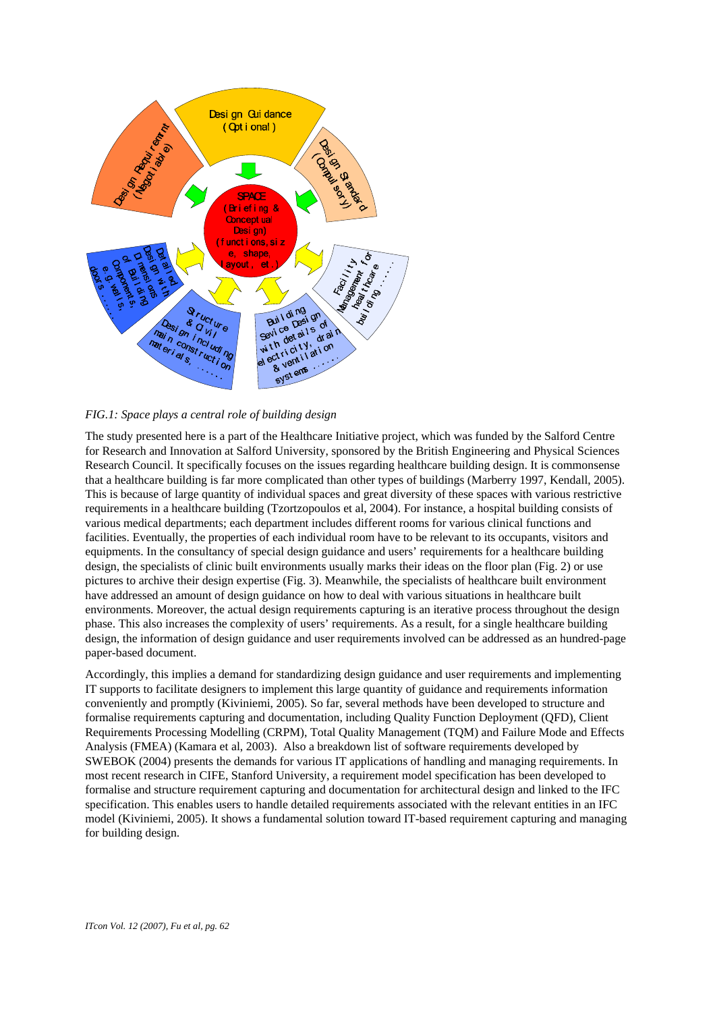

*FIG.1: Space plays a central role of building design* 

The study presented here is a part of the Healthcare Initiative project, which was funded by the Salford Centre for Research and Innovation at Salford University, sponsored by the British Engineering and Physical Sciences Research Council. It specifically focuses on the issues regarding healthcare building design. It is commonsense that a healthcare building is far more complicated than other types of buildings (Marberry 1997, Kendall, 2005). This is because of large quantity of individual spaces and great diversity of these spaces with various restrictive requirements in a healthcare building (Tzortzopoulos et al, 2004). For instance, a hospital building consists of various medical departments; each department includes different rooms for various clinical functions and facilities. Eventually, the properties of each individual room have to be relevant to its occupants, visitors and equipments. In the consultancy of special design guidance and users' requirements for a healthcare building design, the specialists of clinic built environments usually marks their ideas on the floor plan (Fig. 2) or use pictures to archive their design expertise (Fig. 3). Meanwhile, the specialists of healthcare built environment have addressed an amount of design guidance on how to deal with various situations in healthcare built environments. Moreover, the actual design requirements capturing is an iterative process throughout the design phase. This also increases the complexity of users' requirements. As a result, for a single healthcare building design, the information of design guidance and user requirements involved can be addressed as an hundred-page paper-based document.

Accordingly, this implies a demand for standardizing design guidance and user requirements and implementing IT supports to facilitate designers to implement this large quantity of guidance and requirements information conveniently and promptly (Kiviniemi, 2005). So far, several methods have been developed to structure and formalise requirements capturing and documentation, including Quality Function Deployment (QFD), Client Requirements Processing Modelling (CRPM), Total Quality Management (TQM) and Failure Mode and Effects Analysis (FMEA) (Kamara et al, 2003). Also a breakdown list of software requirements developed by SWEBOK (2004) presents the demands for various IT applications of handling and managing requirements. In most recent research in CIFE, Stanford University, a requirement model specification has been developed to formalise and structure requirement capturing and documentation for architectural design and linked to the IFC specification. This enables users to handle detailed requirements associated with the relevant entities in an IFC model (Kiviniemi, 2005). It shows a fundamental solution toward IT-based requirement capturing and managing for building design.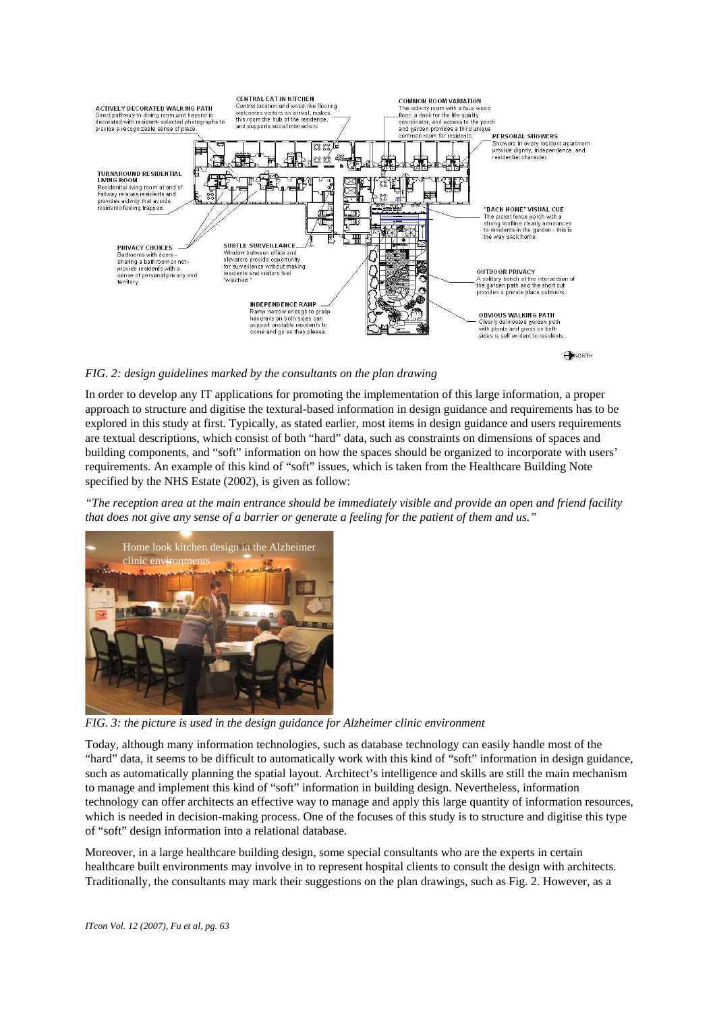

*FIG. 2: design guidelines marked by the consultants on the plan drawing* 

In order to develop any IT applications for promoting the implementation of this large information, a proper approach to structure and digitise the textural-based information in design guidance and requirements has to be explored in this study at first. Typically, as stated earlier, most items in design guidance and users requirements are textual descriptions, which consist of both "hard" data, such as constraints on dimensions of spaces and building components, and "soft" information on how the spaces should be organized to incorporate with users' requirements. An example of this kind of "soft" issues, which is taken from the Healthcare Building Note specified by the NHS Estate (2002), is given as follow:

*"The reception area at the main entrance should be immediately visible and provide an open and friend facility that does not give any sense of a barrier or generate a feeling for the patient of them and us."* 



*FIG. 3: the picture is used in the design guidance for Alzheimer clinic environment* 

Today, although many information technologies, such as database technology can easily handle most of the "hard" data, it seems to be difficult to automatically work with this kind of "soft" information in design guidance, such as automatically planning the spatial layout. Architect's intelligence and skills are still the main mechanism to manage and implement this kind of "soft" information in building design. Nevertheless, information technology can offer architects an effective way to manage and apply this large quantity of information resources, which is needed in decision-making process. One of the focuses of this study is to structure and digitise this type of "soft" design information into a relational database.

Moreover, in a large healthcare building design, some special consultants who are the experts in certain healthcare built environments may involve in to represent hospital clients to consult the design with architects. Traditionally, the consultants may mark their suggestions on the plan drawings, such as Fig. 2. However, as a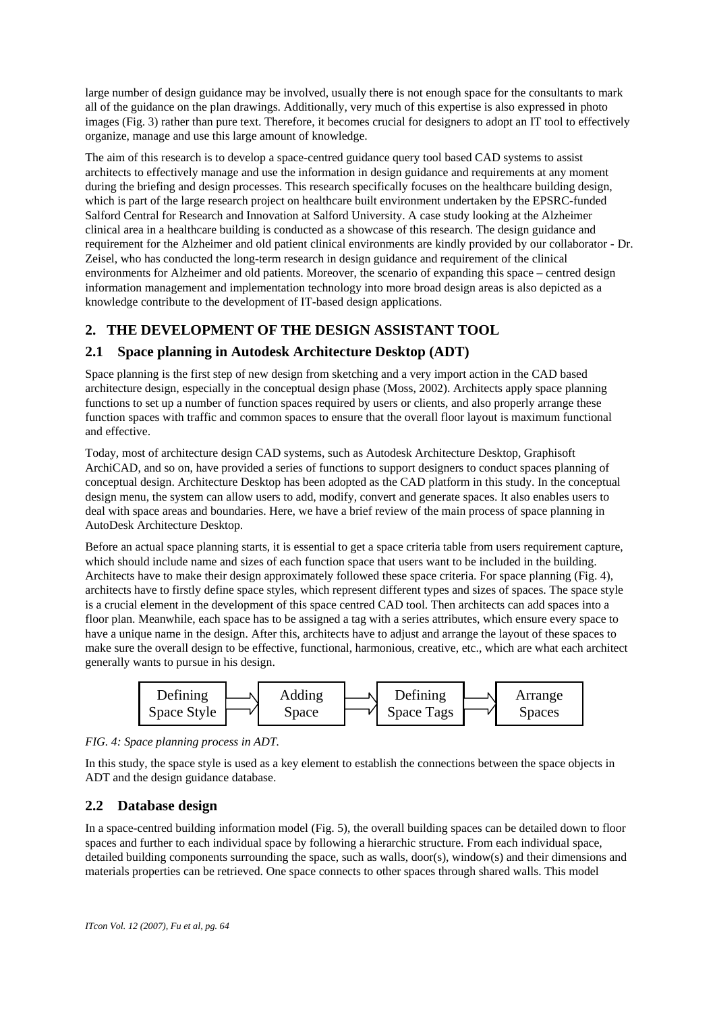large number of design guidance may be involved, usually there is not enough space for the consultants to mark all of the guidance on the plan drawings. Additionally, very much of this expertise is also expressed in photo images (Fig. 3) rather than pure text. Therefore, it becomes crucial for designers to adopt an IT tool to effectively organize, manage and use this large amount of knowledge.

The aim of this research is to develop a space-centred guidance query tool based CAD systems to assist architects to effectively manage and use the information in design guidance and requirements at any moment during the briefing and design processes. This research specifically focuses on the healthcare building design, which is part of the large research project on healthcare built environment undertaken by the EPSRC-funded Salford Central for Research and Innovation at Salford University. A case study looking at the Alzheimer clinical area in a healthcare building is conducted as a showcase of this research. The design guidance and requirement for the Alzheimer and old patient clinical environments are kindly provided by our collaborator - Dr. Zeisel, who has conducted the long-term research in design guidance and requirement of the clinical environments for Alzheimer and old patients. Moreover, the scenario of expanding this space – centred design information management and implementation technology into more broad design areas is also depicted as a knowledge contribute to the development of IT-based design applications.

# **2. THE DEVELOPMENT OF THE DESIGN ASSISTANT TOOL**

## **2.1 Space planning in Autodesk Architecture Desktop (ADT)**

Space planning is the first step of new design from sketching and a very import action in the CAD based architecture design, especially in the conceptual design phase (Moss, 2002). Architects apply space planning functions to set up a number of function spaces required by users or clients, and also properly arrange these function spaces with traffic and common spaces to ensure that the overall floor layout is maximum functional and effective.

Today, most of architecture design CAD systems, such as Autodesk Architecture Desktop, Graphisoft ArchiCAD, and so on, have provided a series of functions to support designers to conduct spaces planning of conceptual design. Architecture Desktop has been adopted as the CAD platform in this study. In the conceptual design menu, the system can allow users to add, modify, convert and generate spaces. It also enables users to deal with space areas and boundaries. Here, we have a brief review of the main process of space planning in AutoDesk Architecture Desktop.

Before an actual space planning starts, it is essential to get a space criteria table from users requirement capture, which should include name and sizes of each function space that users want to be included in the building. Architects have to make their design approximately followed these space criteria. For space planning (Fig. 4), architects have to firstly define space styles, which represent different types and sizes of spaces. The space style is a crucial element in the development of this space centred CAD tool. Then architects can add spaces into a floor plan. Meanwhile, each space has to be assigned a tag with a series attributes, which ensure every space to have a unique name in the design. After this, architects have to adjust and arrange the layout of these spaces to make sure the overall design to be effective, functional, harmonious, creative, etc., which are what each architect generally wants to pursue in his design.



*FIG. 4: Space planning process in ADT.* 

In this study, the space style is used as a key element to establish the connections between the space objects in ADT and the design guidance database.

## **2.2 Database design**

In a space-centred building information model (Fig. 5), the overall building spaces can be detailed down to floor spaces and further to each individual space by following a hierarchic structure. From each individual space, detailed building components surrounding the space, such as walls, door(s), window(s) and their dimensions and materials properties can be retrieved. One space connects to other spaces through shared walls. This model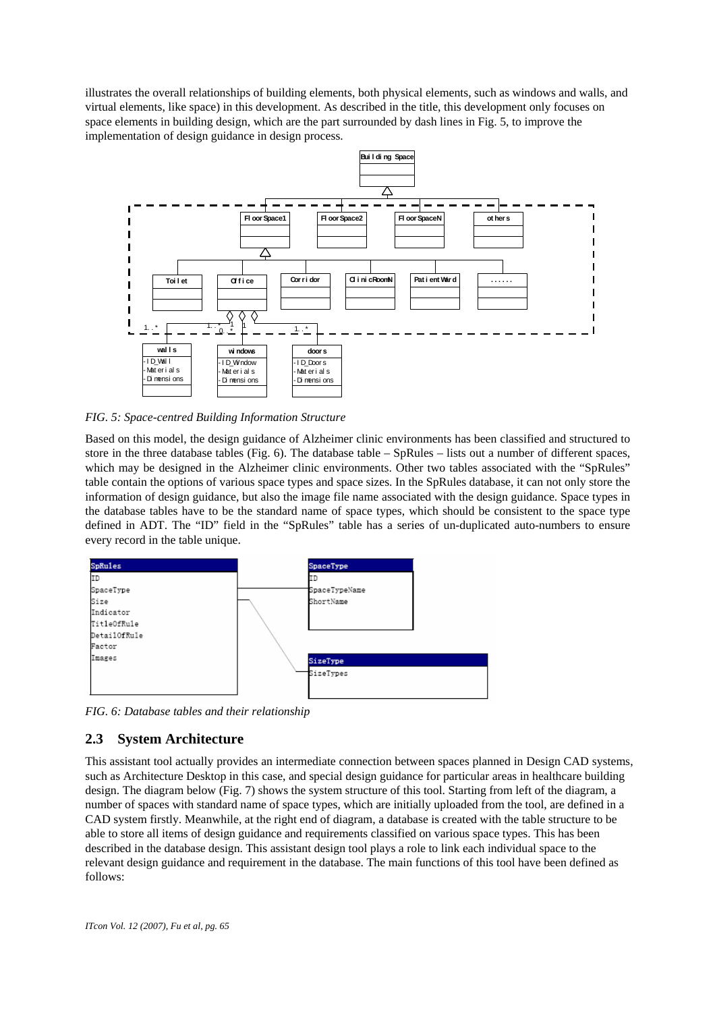illustrates the overall relationships of building elements, both physical elements, such as windows and walls, and virtual elements, like space) in this development. As described in the title, this development only focuses on space elements in building design, which are the part surrounded by dash lines in Fig. 5, to improve the implementation of design guidance in design process.



*FIG. 5: Space-centred Building Information Structure* 

Based on this model, the design guidance of Alzheimer clinic environments has been classified and structured to store in the three database tables (Fig. 6). The database table – SpRules – lists out a number of different spaces, which may be designed in the Alzheimer clinic environments. Other two tables associated with the "SpRules" table contain the options of various space types and space sizes. In the SpRules database, it can not only store the information of design guidance, but also the image file name associated with the design guidance. Space types in the database tables have to be the standard name of space types, which should be consistent to the space type defined in ADT. The "ID" field in the "SpRules" table has a series of un-duplicated auto-numbers to ensure every record in the table unique.



*FIG. 6: Database tables and their relationship* 

### **2.3 System Architecture**

This assistant tool actually provides an intermediate connection between spaces planned in Design CAD systems, such as Architecture Desktop in this case, and special design guidance for particular areas in healthcare building design. The diagram below (Fig. 7) shows the system structure of this tool. Starting from left of the diagram, a number of spaces with standard name of space types, which are initially uploaded from the tool, are defined in a CAD system firstly. Meanwhile, at the right end of diagram, a database is created with the table structure to be able to store all items of design guidance and requirements classified on various space types. This has been described in the database design. This assistant design tool plays a role to link each individual space to the relevant design guidance and requirement in the database. The main functions of this tool have been defined as follows: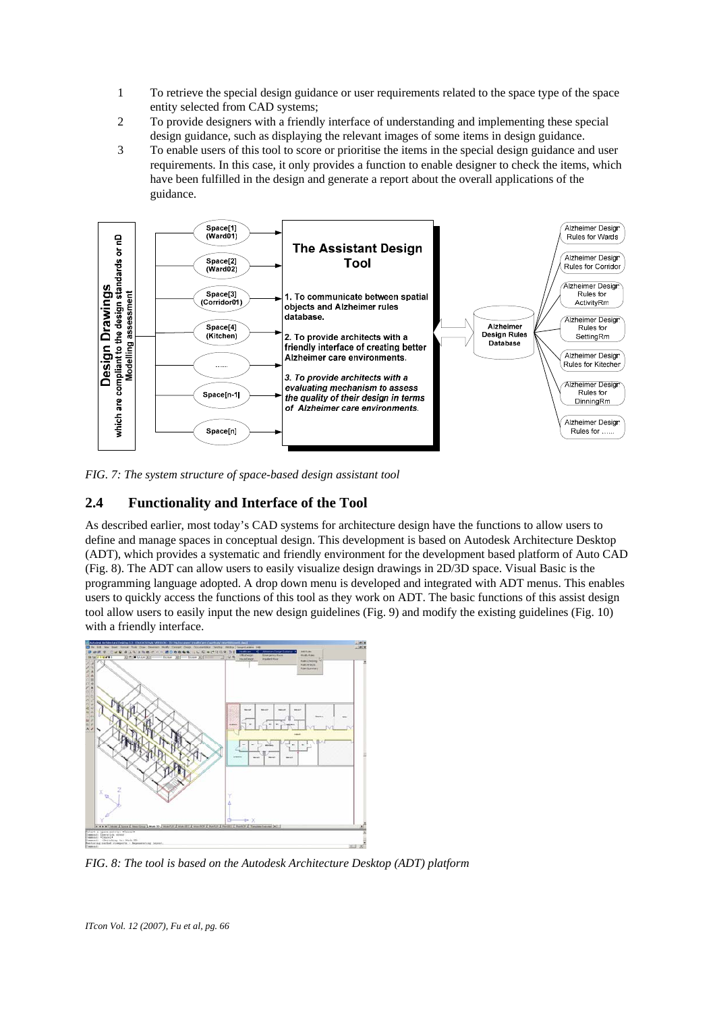- 1 To retrieve the special design guidance or user requirements related to the space type of the space entity selected from CAD systems;
- 2 To provide designers with a friendly interface of understanding and implementing these special design guidance, such as displaying the relevant images of some items in design guidance.
- 3 To enable users of this tool to score or prioritise the items in the special design guidance and user requirements. In this case, it only provides a function to enable designer to check the items, which have been fulfilled in the design and generate a report about the overall applications of the guidance.



*FIG. 7: The system structure of space-based design assistant tool* 

#### **2.4 Functionality and Interface of the Tool**

As described earlier, most today's CAD systems for architecture design have the functions to allow users to define and manage spaces in conceptual design. This development is based on Autodesk Architecture Desktop (ADT), which provides a systematic and friendly environment for the development based platform of Auto CAD (Fig. 8). The ADT can allow users to easily visualize design drawings in 2D/3D space. Visual Basic is the programming language adopted. A drop down menu is developed and integrated with ADT menus. This enables users to quickly access the functions of this tool as they work on ADT. The basic functions of this assist design tool allow users to easily input the new design guidelines (Fig. 9) and modify the existing guidelines (Fig. 10) with a friendly interface.



*FIG. 8: The tool is based on the Autodesk Architecture Desktop (ADT) platform*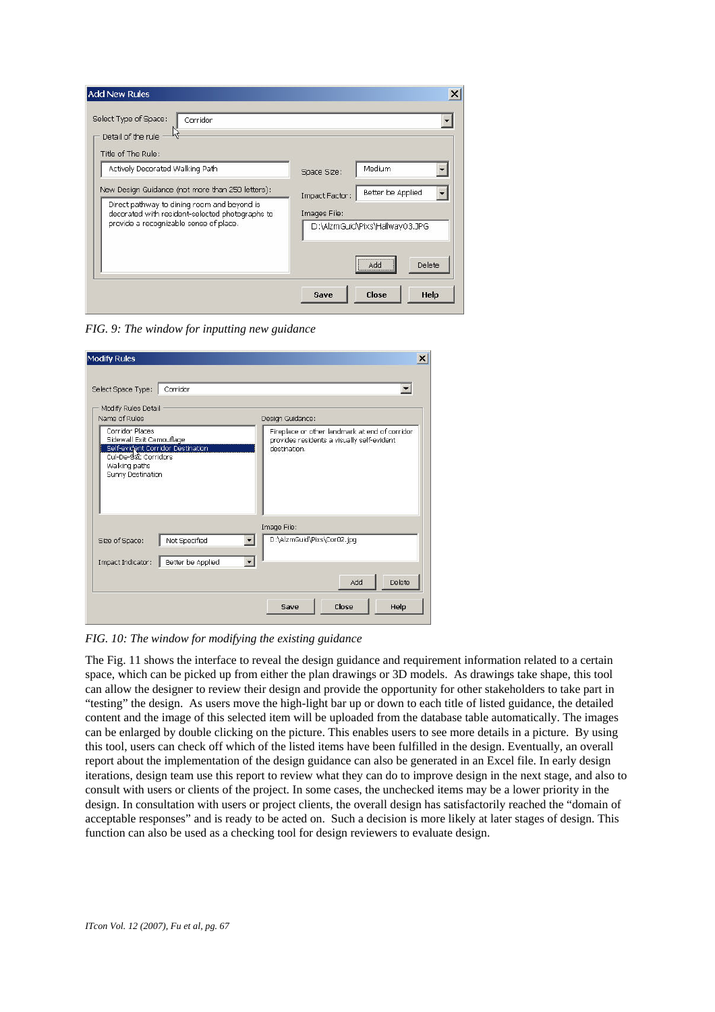| Medium<br>Space Size:                                                                 |
|---------------------------------------------------------------------------------------|
| Better be Applied<br>Impact Factor:<br>Images File:<br>D:\AlzmGuid\Pixs\Hallway03.JPG |
| <br>Delete<br>Add                                                                     |
|                                                                                       |

*FIG. 9: The window for inputting new guidance* 

| Modify Rules Detail<br>Name of Rules                                                                                                           |               | Design Guidance:                                                                                             |  |  |
|------------------------------------------------------------------------------------------------------------------------------------------------|---------------|--------------------------------------------------------------------------------------------------------------|--|--|
| Corridor Places<br>Sidewall Exit Camouflage<br>Self-evident Corridor Destination<br>Cul-De-S&c Corridors<br>Walking paths<br>Sunny Destination |               | Fireplace or other landmark at end of corridor<br>provides residents a visually self-evident<br>destination. |  |  |
| Size of Space:                                                                                                                                 | Not Specified | Image File:<br>D:\AlzmGuid\Pixs\Cor02.jpq<br>$\blacktriangledown$                                            |  |  |

*FIG. 10: The window for modifying the existing guidance*

The Fig. 11 shows the interface to reveal the design guidance and requirement information related to a certain space, which can be picked up from either the plan drawings or 3D models. As drawings take shape, this tool can allow the designer to review their design and provide the opportunity for other stakeholders to take part in "testing" the design. As users move the high-light bar up or down to each title of listed guidance, the detailed content and the image of this selected item will be uploaded from the database table automatically. The images can be enlarged by double clicking on the picture. This enables users to see more details in a picture. By using this tool, users can check off which of the listed items have been fulfilled in the design. Eventually, an overall report about the implementation of the design guidance can also be generated in an Excel file. In early design iterations, design team use this report to review what they can do to improve design in the next stage, and also to consult with users or clients of the project. In some cases, the unchecked items may be a lower priority in the design. In consultation with users or project clients, the overall design has satisfactorily reached the "domain of acceptable responses" and is ready to be acted on. Such a decision is more likely at later stages of design. This function can also be used as a checking tool for design reviewers to evaluate design.

 $\begin{array}{c} \hline \end{array}$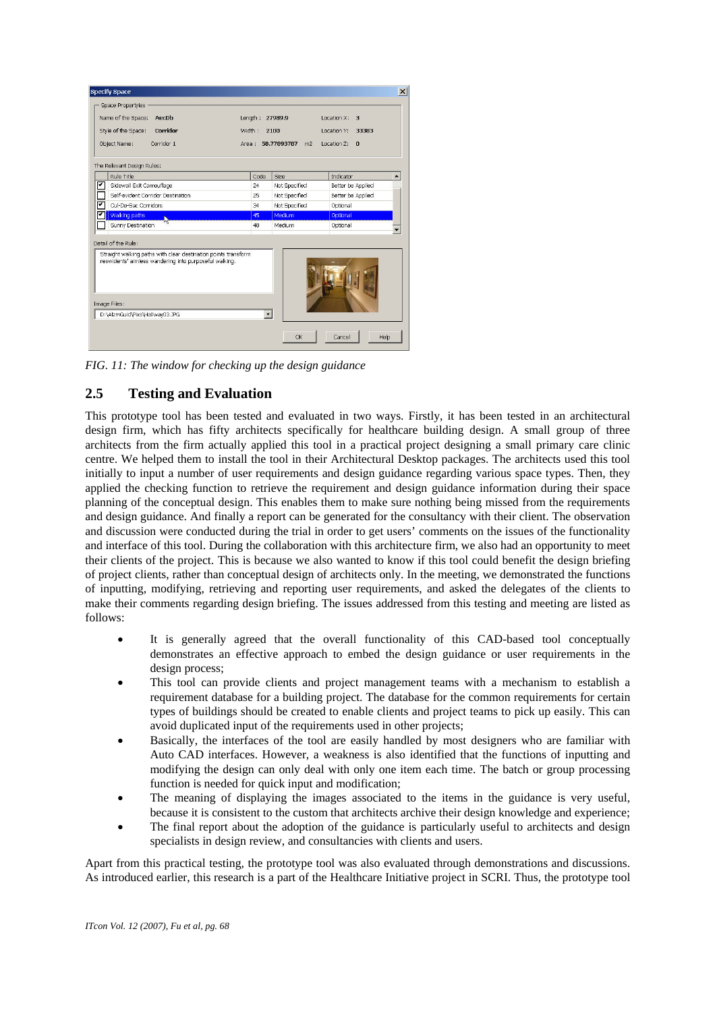| Name of the Space:<br>AecDb<br>Style of the Space:<br>Corridor<br>Object Name:<br>Corridor 1                                                                    | Length:<br>Width:<br>Area : | 27989.9<br>2100<br>58.77893787<br>m <sup>2</sup> | Location X:<br>з<br>Location Y:<br>33383<br>Location 7:<br>$\Omega$ |  |
|-----------------------------------------------------------------------------------------------------------------------------------------------------------------|-----------------------------|--------------------------------------------------|---------------------------------------------------------------------|--|
| The Relevant Design Rules:                                                                                                                                      |                             |                                                  |                                                                     |  |
| Rule Title                                                                                                                                                      | Code                        | Size                                             | Indicator                                                           |  |
| ज<br>Sidewall Exit Camouflage                                                                                                                                   | 24                          | Not Specified                                    | Better be Applied                                                   |  |
| Self-evident Corridor Destination                                                                                                                               | 25                          | Not Specified                                    | Better be Applied                                                   |  |
| Cul-De-Sac Corridors                                                                                                                                            | 34                          | Not Specified                                    | Optional                                                            |  |
| Walking paths<br>$\mathbf{w}$                                                                                                                                   | 45                          | Medium                                           | Optional                                                            |  |
| Sunny Destination                                                                                                                                               | 48                          | Medium                                           | Optional                                                            |  |
| Detail of the Rule:<br>Straight walking paths with clear destination points transform<br>reswidents' aimless wandering into purposeful walking.<br>Image Files: |                             |                                                  |                                                                     |  |

*FIG. 11: The window for checking up the design guidance* 

### **2.5 Testing and Evaluation**

This prototype tool has been tested and evaluated in two ways. Firstly, it has been tested in an architectural design firm, which has fifty architects specifically for healthcare building design. A small group of three architects from the firm actually applied this tool in a practical project designing a small primary care clinic centre. We helped them to install the tool in their Architectural Desktop packages. The architects used this tool initially to input a number of user requirements and design guidance regarding various space types. Then, they applied the checking function to retrieve the requirement and design guidance information during their space planning of the conceptual design. This enables them to make sure nothing being missed from the requirements and design guidance. And finally a report can be generated for the consultancy with their client. The observation and discussion were conducted during the trial in order to get users' comments on the issues of the functionality and interface of this tool. During the collaboration with this architecture firm, we also had an opportunity to meet their clients of the project. This is because we also wanted to know if this tool could benefit the design briefing of project clients, rather than conceptual design of architects only. In the meeting, we demonstrated the functions of inputting, modifying, retrieving and reporting user requirements, and asked the delegates of the clients to make their comments regarding design briefing. The issues addressed from this testing and meeting are listed as follows:

- It is generally agreed that the overall functionality of this CAD-based tool conceptually demonstrates an effective approach to embed the design guidance or user requirements in the design process;
- This tool can provide clients and project management teams with a mechanism to establish a requirement database for a building project. The database for the common requirements for certain types of buildings should be created to enable clients and project teams to pick up easily. This can avoid duplicated input of the requirements used in other projects;
- Basically, the interfaces of the tool are easily handled by most designers who are familiar with Auto CAD interfaces. However, a weakness is also identified that the functions of inputting and modifying the design can only deal with only one item each time. The batch or group processing function is needed for quick input and modification;
- The meaning of displaying the images associated to the items in the guidance is very useful, because it is consistent to the custom that architects archive their design knowledge and experience;
- The final report about the adoption of the guidance is particularly useful to architects and design specialists in design review, and consultancies with clients and users.

Apart from this practical testing, the prototype tool was also evaluated through demonstrations and discussions. As introduced earlier, this research is a part of the Healthcare Initiative project in SCRI. Thus, the prototype tool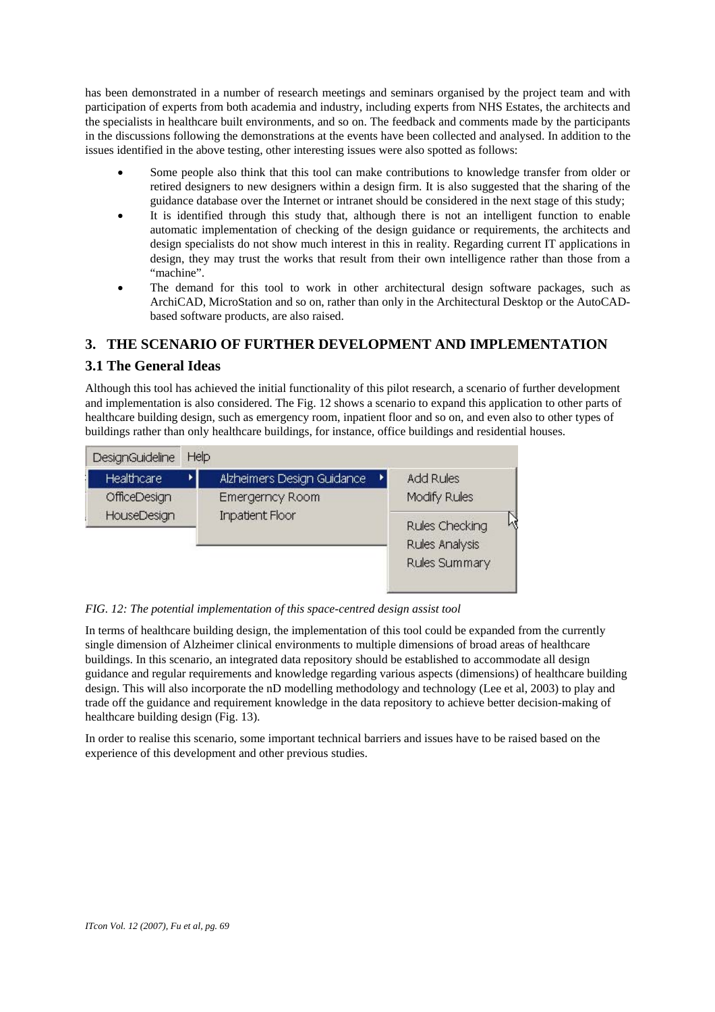has been demonstrated in a number of research meetings and seminars organised by the project team and with participation of experts from both academia and industry, including experts from NHS Estates, the architects and the specialists in healthcare built environments, and so on. The feedback and comments made by the participants in the discussions following the demonstrations at the events have been collected and analysed. In addition to the issues identified in the above testing, other interesting issues were also spotted as follows:

- Some people also think that this tool can make contributions to knowledge transfer from older or retired designers to new designers within a design firm. It is also suggested that the sharing of the guidance database over the Internet or intranet should be considered in the next stage of this study;
- It is identified through this study that, although there is not an intelligent function to enable automatic implementation of checking of the design guidance or requirements, the architects and design specialists do not show much interest in this in reality. Regarding current IT applications in design, they may trust the works that result from their own intelligence rather than those from a "machine".
- The demand for this tool to work in other architectural design software packages, such as ArchiCAD, MicroStation and so on, rather than only in the Architectural Desktop or the AutoCADbased software products, are also raised.

## **3. THE SCENARIO OF FURTHER DEVELOPMENT AND IMPLEMENTATION**

### **3.1 The General Ideas**

Although this tool has achieved the initial functionality of this pilot research, a scenario of further development and implementation is also considered. The Fig. 12 shows a scenario to expand this application to other parts of healthcare building design, such as emergency room, inpatient floor and so on, and even also to other types of buildings rather than only healthcare buildings, for instance, office buildings and residential houses.



*FIG. 12: The potential implementation of this space-centred design assist tool* 

In terms of healthcare building design, the implementation of this tool could be expanded from the currently single dimension of Alzheimer clinical environments to multiple dimensions of broad areas of healthcare buildings. In this scenario, an integrated data repository should be established to accommodate all design guidance and regular requirements and knowledge regarding various aspects (dimensions) of healthcare building design. This will also incorporate the nD modelling methodology and technology (Lee et al, 2003) to play and trade off the guidance and requirement knowledge in the data repository to achieve better decision-making of healthcare building design (Fig. 13).

In order to realise this scenario, some important technical barriers and issues have to be raised based on the experience of this development and other previous studies.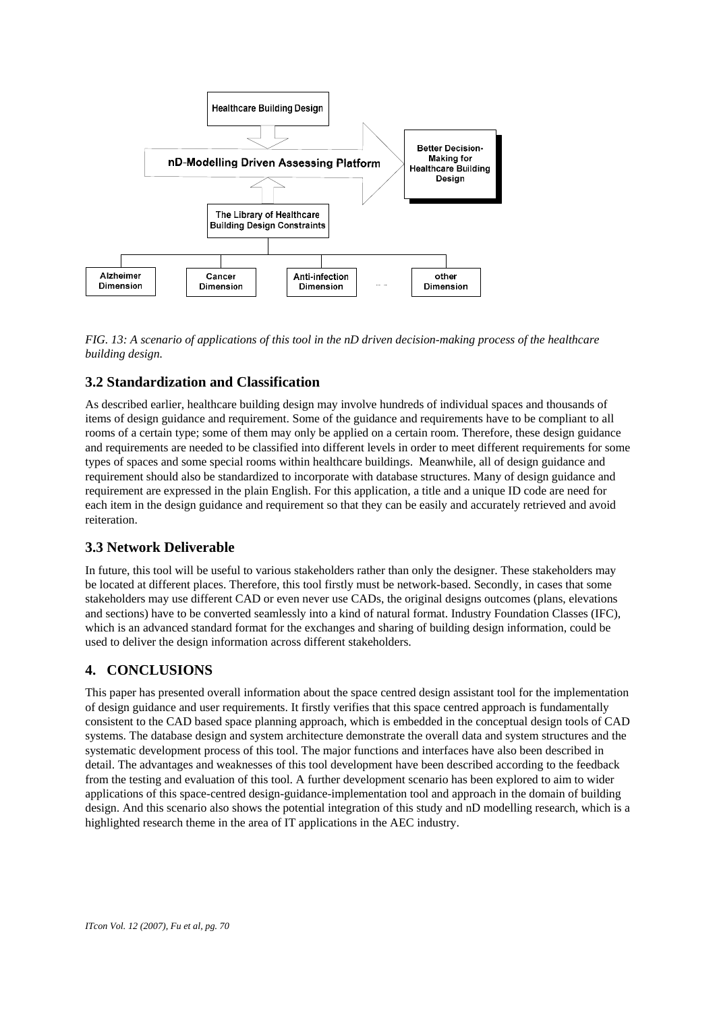

*FIG. 13: A scenario of applications of this tool in the nD driven decision-making process of the healthcare building design.* 

#### **3.2 Standardization and Classification**

As described earlier, healthcare building design may involve hundreds of individual spaces and thousands of items of design guidance and requirement. Some of the guidance and requirements have to be compliant to all rooms of a certain type; some of them may only be applied on a certain room. Therefore, these design guidance and requirements are needed to be classified into different levels in order to meet different requirements for some types of spaces and some special rooms within healthcare buildings. Meanwhile, all of design guidance and requirement should also be standardized to incorporate with database structures. Many of design guidance and requirement are expressed in the plain English. For this application, a title and a unique ID code are need for each item in the design guidance and requirement so that they can be easily and accurately retrieved and avoid reiteration.

#### **3.3 Network Deliverable**

In future, this tool will be useful to various stakeholders rather than only the designer. These stakeholders may be located at different places. Therefore, this tool firstly must be network-based. Secondly, in cases that some stakeholders may use different CAD or even never use CADs, the original designs outcomes (plans, elevations and sections) have to be converted seamlessly into a kind of natural format. Industry Foundation Classes (IFC), which is an advanced standard format for the exchanges and sharing of building design information, could be used to deliver the design information across different stakeholders.

#### **4. CONCLUSIONS**

This paper has presented overall information about the space centred design assistant tool for the implementation of design guidance and user requirements. It firstly verifies that this space centred approach is fundamentally consistent to the CAD based space planning approach, which is embedded in the conceptual design tools of CAD systems. The database design and system architecture demonstrate the overall data and system structures and the systematic development process of this tool. The major functions and interfaces have also been described in detail. The advantages and weaknesses of this tool development have been described according to the feedback from the testing and evaluation of this tool. A further development scenario has been explored to aim to wider applications of this space-centred design-guidance-implementation tool and approach in the domain of building design. And this scenario also shows the potential integration of this study and nD modelling research, which is a highlighted research theme in the area of IT applications in the AEC industry.